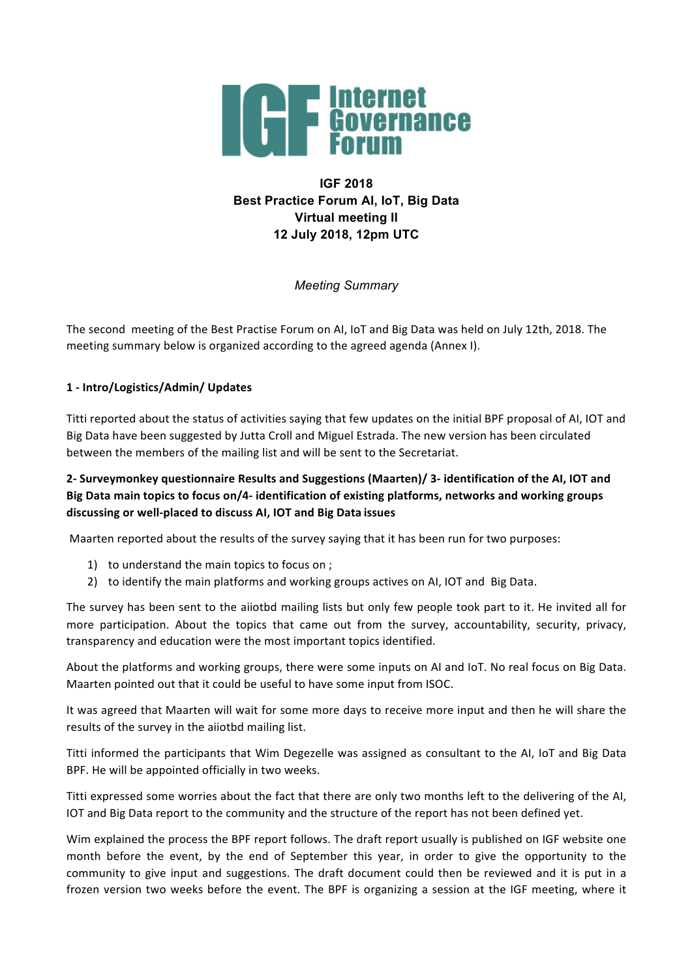

# **IGF 2018 Best Practice Forum AI, IoT, Big Data Virtual meeting II 12 July 2018, 12pm UTC**

*Meeting Summary*

The second meeting of the Best Practise Forum on AI, IoT and Big Data was held on July 12th, 2018. The meeting summary below is organized according to the agreed agenda (Annex I).

# **1 - Intro/Logistics/Admin/ Updates**

Titti reported about the status of activities saying that few updates on the initial BPF proposal of AI, IOT and Big Data have been suggested by Jutta Croll and Miguel Estrada. The new version has been circulated between the members of the mailing list and will be sent to the Secretariat.

# **2- Surveymonkey questionnaire Results and Suggestions (Maarten)/ 3- identification of the AI, IOT and**  Big Data main topics to focus on/4- identification of existing platforms, networks and working groups **discussing or well-placed to discuss AI, IOT and Big Data issues**

Maarten reported about the results of the survey saying that it has been run for two purposes:

- 1) to understand the main topics to focus on ;
- 2) to identify the main platforms and working groups actives on AI, IOT and Big Data.

The survey has been sent to the aiiotbd mailing lists but only few people took part to it. He invited all for more participation. About the topics that came out from the survey, accountability, security, privacy, transparency and education were the most important topics identified.

About the platforms and working groups, there were some inputs on AI and IoT. No real focus on Big Data. Maarten pointed out that it could be useful to have some input from ISOC.

It was agreed that Maarten will wait for some more days to receive more input and then he will share the results of the survey in the aiiotbd mailing list.

Titti informed the participants that Wim Degezelle was assigned as consultant to the AI, IoT and Big Data BPF. He will be appointed officially in two weeks.

Titti expressed some worries about the fact that there are only two months left to the delivering of the AI, IOT and Big Data report to the community and the structure of the report has not been defined yet.

Wim explained the process the BPF report follows. The draft report usually is published on IGF website one month before the event, by the end of September this year, in order to give the opportunity to the community to give input and suggestions. The draft document could then be reviewed and it is put in a frozen version two weeks before the event. The BPF is organizing a session at the IGF meeting, where it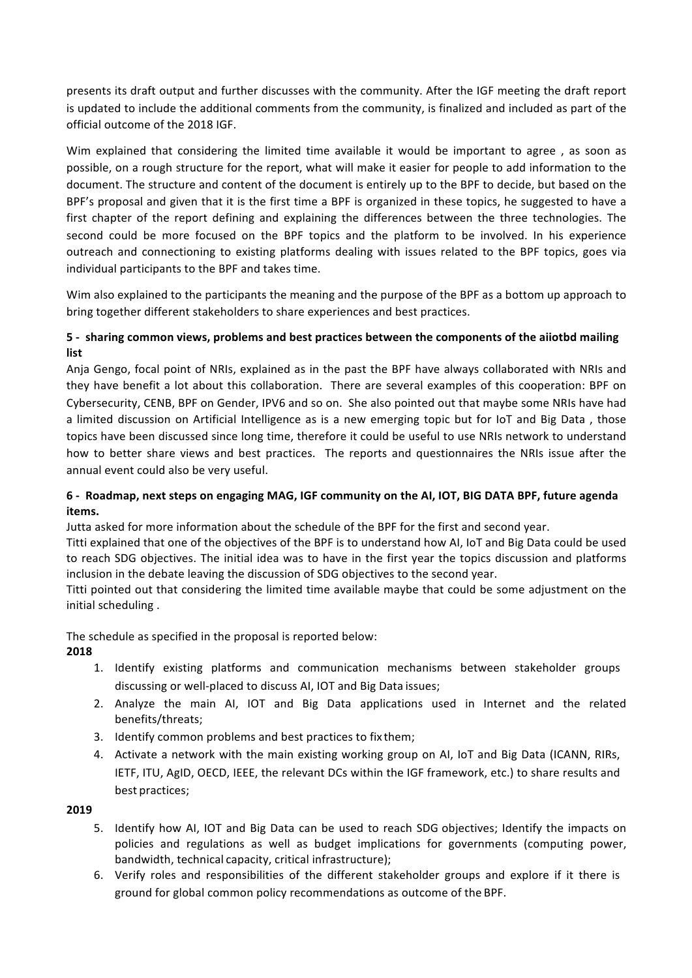presents its draft output and further discusses with the community. After the IGF meeting the draft report is updated to include the additional comments from the community, is finalized and included as part of the official outcome of the 2018 IGF. 

Wim explained that considering the limited time available it would be important to agree, as soon as possible, on a rough structure for the report, what will make it easier for people to add information to the document. The structure and content of the document is entirely up to the BPF to decide, but based on the BPF's proposal and given that it is the first time a BPF is organized in these topics, he suggested to have a first chapter of the report defining and explaining the differences between the three technologies. The second could be more focused on the BPF topics and the platform to be involved. In his experience outreach and connectioning to existing platforms dealing with issues related to the BPF topics, goes via individual participants to the BPF and takes time.

Wim also explained to the participants the meaning and the purpose of the BPF as a bottom up approach to bring together different stakeholders to share experiences and best practices.

# **5** - sharing common views, problems and best practices between the components of the aiiotbd mailing **list**

Anja Gengo, focal point of NRIs, explained as in the past the BPF have always collaborated with NRIs and they have benefit a lot about this collaboration. There are several examples of this cooperation: BPF on Cybersecurity, CENB, BPF on Gender, IPV6 and so on. She also pointed out that maybe some NRIs have had a limited discussion on Artificial Intelligence as is a new emerging topic but for IoT and Big Data, those topics have been discussed since long time, therefore it could be useful to use NRIs network to understand how to better share views and best practices. The reports and questionnaires the NRIs issue after the annual event could also be very useful.

# 6 - Roadmap, next steps on engaging MAG, IGF community on the AI, IOT, BIG DATA BPF, future agenda **items.**

Jutta asked for more information about the schedule of the BPF for the first and second year.

Titti explained that one of the objectives of the BPF is to understand how AI, IoT and Big Data could be used to reach SDG objectives. The initial idea was to have in the first year the topics discussion and platforms inclusion in the debate leaving the discussion of SDG objectives to the second year.

Titti pointed out that considering the limited time available maybe that could be some adjustment on the initial scheduling.

The schedule as specified in the proposal is reported below:

# **2018**

- 1. Identify existing platforms and communication mechanisms between stakeholder groups discussing or well-placed to discuss AI, IOT and Big Data issues;
- 2. Analyze the main AI, IOT and Big Data applications used in Internet and the related benefits/threats;
- 3. Identify common problems and best practices to fix them;
- 4. Activate a network with the main existing working group on AI, IoT and Big Data (ICANN, RIRs, IETF, ITU, AgID, OECD, IEEE, the relevant DCs within the IGF framework, etc.) to share results and best practices;

# **2019**

- 5. Identify how AI, IOT and Big Data can be used to reach SDG objectives; Identify the impacts on policies and regulations as well as budget implications for governments (computing power, bandwidth, technical capacity, critical infrastructure);
- 6. Verify roles and responsibilities of the different stakeholder groups and explore if it there is ground for global common policy recommendations as outcome of the BPF.